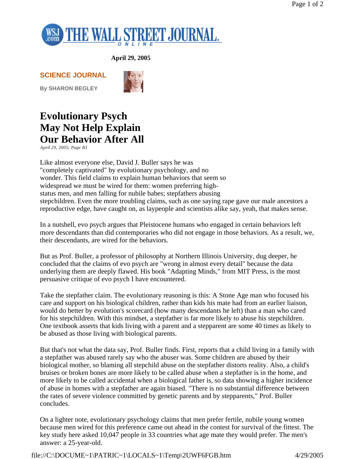

**April 29, 2005** 

**SCIENCE JOURNAL** 

**By SHARON BEGLEY** 



## **Evolutionary Psych May Not Help Explain Our Behavior After All**

*April 29, 2005; Page B1*

Like almost everyone else, David J. Buller says he was "completely captivated" by evolutionary psychology, and no wonder. This field claims to explain human behaviors that seem so widespread we must be wired for them: women preferring highstatus men, and men falling for nubile babes; stepfathers abusing stepchildren. Even the more troubling claims, such as one saying rape gave our male ancestors a reproductive edge, have caught on, as laypeople and scientists alike say, yeah, that makes sense.

In a nutshell, evo psych argues that Pleistocene humans who engaged in certain behaviors left more descendants than did contemporaries who did not engage in those behaviors. As a result, we, their descendants, are wired for the behaviors.

But as Prof. Buller, a professor of philosophy at Northern Illinois University, dug deeper, he concluded that the claims of evo psych are "wrong in almost every detail" because the data underlying them are deeply flawed. His book "Adapting Minds," from MIT Press, is the most persuasive critique of evo psych I have encountered.

Take the stepfather claim. The evolutionary reasoning is this: A Stone Age man who focused his care and support on his biological children, rather than kids his mate had from an earlier liaison, would do better by evolution's scorecard (how many descendants he left) than a man who cared for his stepchildren. With this mindset, a stepfather is far more likely to abuse his stepchildren. One textbook asserts that kids living with a parent and a stepparent are some 40 times as likely to be abused as those living with biological parents.

But that's not what the data say, Prof. Buller finds. First, reports that a child living in a family with a stepfather was abused rarely say who the abuser was. Some children are abused by their biological mother, so blaming all stepchild abuse on the stepfather distorts reality. Also, a child's bruises or broken bones are more likely to be called abuse when a stepfather is in the home, and more likely to be called accidental when a biological father is, so data showing a higher incidence of abuse in homes with a stepfather are again biased. "There is no substantial difference between the rates of severe violence committed by genetic parents and by stepparents," Prof. Buller concludes.

On a lighter note, evolutionary psychology claims that men prefer fertile, nubile young women because men wired for this preference came out ahead in the contest for survival of the fittest. The key study here asked 10,047 people in 33 countries what age mate they would prefer. The men's answer: a 25-year-old.